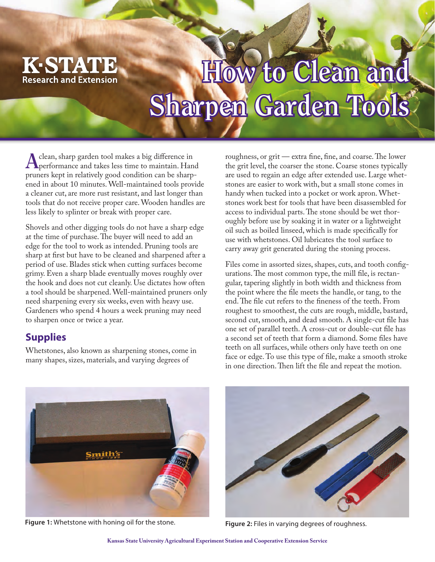

# **How to Clean and** Sharpen Garden Tools

 $H_1$ 

**A**clean, sharp garden tool makes a big difference in performance and takes less time to maintain. Hand pruners kept in relatively good condition can be sharpened in about 10 minutes. Well-maintained tools provide a cleaner cut, are more rust resistant, and last longer than tools that do not receive proper care. Wooden handles are less likely to splinter or break with proper care.

Shovels and other digging tools do not have a sharp edge at the time of purchase. The buyer will need to add an edge for the tool to work as intended. Pruning tools are sharp at first but have to be cleaned and sharpened after a period of use. Blades stick when cutting surfaces become grimy. Even a sharp blade eventually moves roughly over the hook and does not cut cleanly. Use dictates how often a tool should be sharpened. Well-maintained pruners only need sharpening every six weeks, even with heavy use. Gardeners who spend 4 hours a week pruning may need to sharpen once or twice a year.

# **Supplies**

Whetstones, also known as sharpening stones, come in many shapes, sizes, materials, and varying degrees of

roughness, or grit — extra fine, fine, and coarse. The lower the grit level, the coarser the stone. Coarse stones typically are used to regain an edge after extended use. Large whetstones are easier to work with, but a small stone comes in handy when tucked into a pocket or work apron. Whetstones work best for tools that have been disassembled for access to individual parts. The stone should be wet thoroughly before use by soaking it in water or a lightweight oil such as boiled linseed, which is made specifically for use with whetstones. Oil lubricates the tool surface to carry away grit generated during the stoning process.

Files come in assorted sizes, shapes, cuts, and tooth configurations. The most common type, the mill file, is rectangular, tapering slightly in both width and thickness from the point where the file meets the handle, or tang, to the end. The file cut refers to the fineness of the teeth. From roughest to smoothest, the cuts are rough, middle, bastard, second cut, smooth, and dead smooth. A single-cut file has one set of parallel teeth. A cross-cut or double-cut file has a second set of teeth that form a diamond. Some files have teeth on all surfaces, while others only have teeth on one face or edge. To use this type of file, make a smooth stroke in one direction. Then lift the file and repeat the motion.



Figure 1: Whetstone with honing oil for the stone. **Figure 2:** Files in varying degrees of roughness.

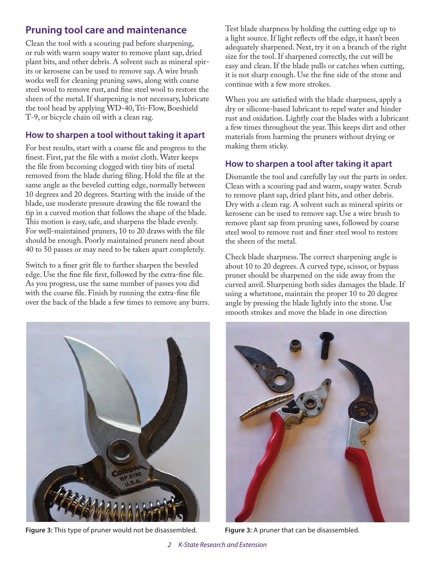# **Pruning tool care and maintenance**

Clean the tool with a scouring pad before sharpening, or rub with warm soapy water to remove plant sap, dried plant bits, and other debris. A solvent such as mineral spirits or kerosene can be used to remove sap. A wire brush works well for cleaning pruning saws, along with coarse steel wool to remove rust, and fine steel wool to restore the sheen of the metal. If sharpening is not necessary, lubricate the tool head by applying WD-40, Tri-Flow, Boeshield T-9, or bicycle chain oil with a clean rag.

#### **How to sharpen a tool without taking it apart**

For best results, start with a coarse file and progress to the finest. First, pat the file with a moist cloth. Water keeps the file from becoming clogged with tiny bits of metal removed from the blade during filing. Hold the file at the same angle as the beveled cutting edge, normally between 10 degrees and 20 degrees. Starting with the inside of the blade, use moderate pressure drawing the file toward the tip in a curved motion that follows the shape of the blade. This motion is easy, safe, and sharpens the blade evenly. For well-maintained pruners, 10 to 20 draws with the file should be enough. Poorly maintained pruners need about 40 to 50 passes or may need to be taken apart completely.

Switch to a finer grit file to further sharpen the beveled edge. Use the fine file first, followed by the extra-fine file. As you progress, use the same number of passes you did with the coarse file. Finish by running the extra-fine file over the back of the blade a few times to remove any burrs.



**Figure 3:** This type of pruner would not be disassembled. **Figure 3:** A pruner that can be disassembled.

Test blade sharpness by holding the cutting edge up to a light source. If light reflects off the edge, it hasn't been adequately sharpened. Next, try it on a branch of the right size for the tool. If sharpened correctly, the cut will be easy and clean. If the blade pulls or catches when cutting, it is not sharp enough. Use the fine side of the stone and continue with a few more strokes.

When you are satisfied with the blade sharpness, apply a dry or silicone-based lubricant to repel water and hinder rust and oxidation. Lightly coat the blades with a lubricant a few times throughout the year. This keeps dirt and other materials from harming the pruners without drying or making them sticky.

## **How to sharpen a tool after taking it apart**

Dismantle the tool and carefully lay out the parts in order. Clean with a scouring pad and warm, soapy water. Scrub to remove plant sap, dried plant bits, and other debris. Dry with a clean rag. A solvent such as mineral spirits or kerosene can be used to remove sap. Use a wire brush to remove plant sap from pruning saws, followed by coarse steel wool to remove rust and finer steel wool to restore the sheen of the metal.

Check blade sharpness. The correct sharpening angle is about 10 to 20 degrees. A curved type, scissor, or bypass pruner should be sharpened on the side away from the curved anvil. Sharpening both sides damages the blade. If using a whetstone, maintain the proper 10 to 20 degree angle by pressing the blade lightly into the stone. Use smooth strokes and move the blade in one direction

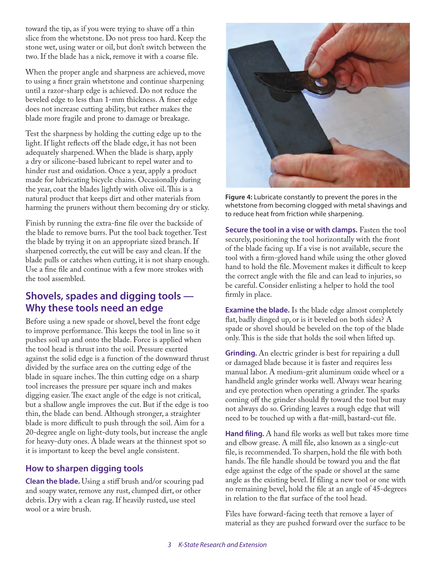toward the tip, as if you were trying to shave off a thin slice from the whetstone. Do not press too hard. Keep the stone wet, using water or oil, but don't switch between the two. If the blade has a nick, remove it with a coarse file.

When the proper angle and sharpness are achieved, move to using a finer grain whetstone and continue sharpening until a razor-sharp edge is achieved. Do not reduce the beveled edge to less than 1-mm thickness. A finer edge does not increase cutting ability, but rather makes the blade more fragile and prone to damage or breakage.

Test the sharpness by holding the cutting edge up to the light. If light reflects off the blade edge, it has not been adequately sharpened. When the blade is sharp, apply a dry or silicone-based lubricant to repel water and to hinder rust and oxidation. Once a year, apply a product made for lubricating bicycle chains. Occasionally during the year, coat the blades lightly with olive oil. This is a natural product that keeps dirt and other materials from harming the pruners without them becoming dry or sticky.

Finish by running the extra-fine file over the backside of the blade to remove burrs. Put the tool back together. Test the blade by trying it on an appropriate sized branch. If sharpened correctly, the cut will be easy and clean. If the blade pulls or catches when cutting, it is not sharp enough. Use a fine file and continue with a few more strokes with the tool assembled.

### **Shovels, spades and digging tools — Why these tools need an edge**

Before using a new spade or shovel, bevel the front edge to improve performance. This keeps the tool in line so it pushes soil up and onto the blade. Force is applied when the tool head is thrust into the soil. Pressure exerted against the solid edge is a function of the downward thrust divided by the surface area on the cutting edge of the blade in square inches. The thin cutting edge on a sharp tool increases the pressure per square inch and makes digging easier. The exact angle of the edge is not critical, but a shallow angle improves the cut. But if the edge is too thin, the blade can bend. Although stronger, a straighter blade is more difficult to push through the soil. Aim for a 20-degree angle on light-duty tools, but increase the angle for heavy-duty ones. A blade wears at the thinnest spot so it is important to keep the bevel angle consistent.

#### **How to sharpen digging tools**

**Clean the blade.** Using a stiff brush and/or scouring pad and soapy water, remove any rust, clumped dirt, or other debris. Dry with a clean rag. If heavily rusted, use steel wool or a wire brush.



**Figure 4:** Lubricate constantly to prevent the pores in the whetstone from becoming clogged with metal shavings and to reduce heat from friction while sharpening.

**Secure the tool in a vise or with clamps.** Fasten the tool securely, positioning the tool horizontally with the front of the blade facing up. If a vise is not available, secure the tool with a firm-gloved hand while using the other gloved hand to hold the file. Movement makes it difficult to keep the correct angle with the file and can lead to injuries, so be careful. Consider enlisting a helper to hold the tool firmly in place.

**Examine the blade.** Is the blade edge almost completely flat, badly dinged up, or is it beveled on both sides? A spade or shovel should be beveled on the top of the blade only. This is the side that holds the soil when lifted up.

**Grinding.** An electric grinder is best for repairing a dull or damaged blade because it is faster and requires less manual labor. A medium-grit aluminum oxide wheel or a handheld angle grinder works well. Always wear hearing and eye protection when operating a grinder. The sparks coming off the grinder should fly toward the tool but may not always do so. Grinding leaves a rough edge that will need to be touched up with a flat-mill, bastard-cut file.

**Hand filing.** A hand file works as well but takes more time and elbow grease. A mill file, also known as a single-cut file, is recommended. To sharpen, hold the file with both hands. The file handle should be toward you and the flat edge against the edge of the spade or shovel at the same angle as the existing bevel. If filing a new tool or one with no remaining bevel, hold the file at an angle of 45-degrees in relation to the flat surface of the tool head.

Files have forward-facing teeth that remove a layer of material as they are pushed forward over the surface to be